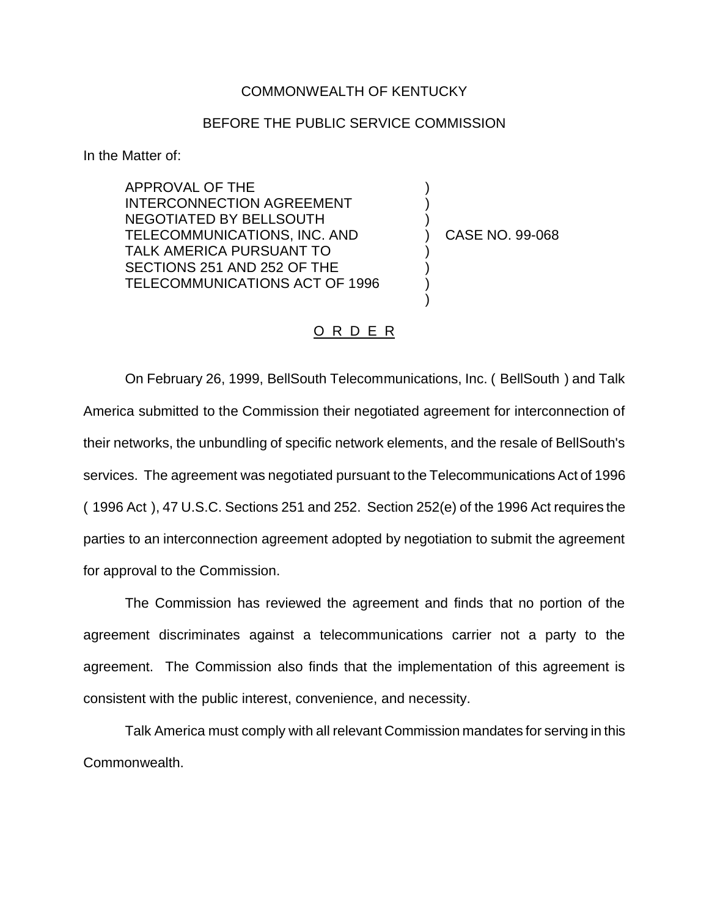## COMMONWEALTH OF KENTUCKY

## BEFORE THE PUBLIC SERVICE COMMISSION

In the Matter of:

APPROVAL OF THE INTERCONNECTION AGREEMENT NEGOTIATED BY BELLSOUTH TELECOMMUNICATIONS, INC. AND TALK AMERICA PURSUANT TO SECTIONS 251 AND 252 OF THE TELECOMMUNICATIONS ACT OF 1996

) CASE NO. 99-068

) ) )

) ) ) )

## O R D E R

On February 26, 1999, BellSouth Telecommunications, Inc. ( BellSouth ) and Talk America submitted to the Commission their negotiated agreement for interconnection of their networks, the unbundling of specific network elements, and the resale of BellSouth's services. The agreement was negotiated pursuant to the Telecommunications Act of 1996 ( 1996 Act ), 47 U.S.C. Sections 251 and 252. Section 252(e) of the 1996 Act requires the parties to an interconnection agreement adopted by negotiation to submit the agreement for approval to the Commission.

The Commission has reviewed the agreement and finds that no portion of the agreement discriminates against a telecommunications carrier not a party to the agreement. The Commission also finds that the implementation of this agreement is consistent with the public interest, convenience, and necessity.

Talk America must comply with all relevant Commission mandates for serving in this Commonwealth.